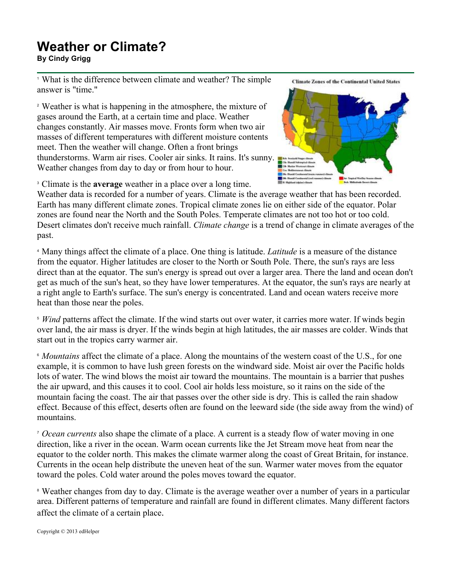## **Weather or Climate?**

**By Cindy Grigg**

<sup>1</sup> What is the difference between climate and weather? The simple answer is "time."

<sup>2</sup> Weather is what is happening in the atmosphere, the mixture of gases around the Earth, at a certain time and place. Weather changes constantly. Air masses move. Fronts form when two air masses of different temperatures with different moisture contents meet. Then the weather will change. Often a front brings thunderstorms. Warm air rises. Cooler air sinks. It rains. It's sunny. Weather changes from day to day or from hour to hour.

**Climate Zones of the Continental United States** 



<sup>3</sup> Climate is the **average** weather in a place over a long time.

Weather data is recorded for a number of years. Climate is the average weather that has been recorded. Earth has many different climate zones. Tropical climate zones lie on either side of the equator. Polar zones are found near the North and the South Poles. Temperate climates are not too hot or too cold. Desert climates don't receive much rainfall. *Climate change* is a trend of change in climate averages of the past.

<sup>4</sup> Many things affect the climate of a place. One thing is latitude. *Latitude* is a measure of the distance from the equator. Higher latitudes are closer to the North or South Pole. There, the sun's rays are less direct than at the equator. The sun's energy is spread out over a larger area. There the land and ocean don't get as much of the sun's heat, so they have lower temperatures. At the equator, the sun's rays are nearly at a right angle to Earth's surface. The sun's energy is concentrated. Land and ocean waters receive more heat than those near the poles.

<sup>5</sup> *Wind* patterns affect the climate. If the wind starts out over water, it carries more water. If winds begin over land, the air mass is dryer. If the winds begin at high latitudes, the air masses are colder. Winds that start out in the tropics carry warmer air.

<sup>6</sup> *Mountains* affect the climate of a place. Along the mountains of the western coast of the U.S., for one example, it is common to have lush green forests on the windward side. Moist air over the Pacific holds lots of water. The wind blows the moist air toward the mountains. The mountain is a barrier that pushes the air upward, and this causes it to cool. Cool air holds less moisture, so it rains on the side of the mountain facing the coast. The air that passes over the other side is dry. This is called the rain shadow effect. Because of this effect, deserts often are found on the leeward side (the side away from the wind) of mountains.

<sup>7</sup> *Ocean currents* also shape the climate of a place. A current is a steady flow of water moving in one direction, like a river in the ocean. Warm ocean currents like the Jet Stream move heat from near the equator to the colder north. This makes the climate warmer along the coast of Great Britain, for instance. Currents in the ocean help distribute the uneven heat of the sun. Warmer water moves from the equator toward the poles. Cold water around the poles moves toward the equator.

<sup>8</sup> Weather changes from day to day. Climate is the average weather over a number of years in a particular area. Different patterns of temperature and rainfall are found in different climates. Many different factors affect the climate of a certain place.